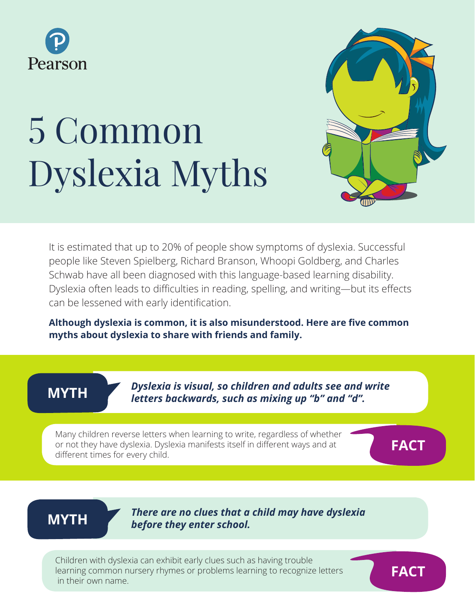

# 5 Common Dyslexia Myths



It is estimated that up to 20% of people show symptoms of dyslexia. Successful people like Steven Spielberg, Richard Branson, Whoopi Goldberg, and Charles Schwab have all been diagnosed with this language-based learning disability. Dyslexia often leads to difficulties in reading, spelling, and writing—but its effects can be lessened with early identification.

**Although dyslexia is common, it is also misunderstood. Here are five common myths about dyslexia to share with friends and family.**

**MYTH**

*Dyslexia is visual, so children and adults see and write letters backwards, such as mixing up "b" and "d".*

Many children reverse letters when learning to write, regardless of whether or not they have dyslexia. Dyslexia manifests itself in different ways and at different times for every child.

**FACT**

## **MYTH**

*There are no clues that a child may have dyslexia before they enter school.*

Children with dyslexia can exhibit early clues such as having trouble learning common nursery rhymes or problems learning to recognize letters in their own name.

**FACT**